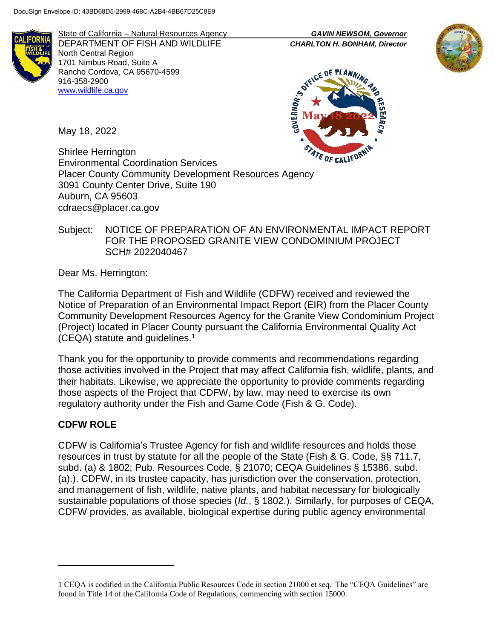

State of California – Natural Resources Agency *GAVIN NEWSOM, Governor* DEPARTMENT OF FISH AND WILDLIFE *CHARLTON H. BONHAM, Director* North Central Region 1701 Nimbus Road, Suite A Rancho Cordova, CA 95670-4599 916-358-2900 [www.wildlife.ca.gov](http://www.wildlife.ca.gov/)





May 18, 2022

Shirlee Herrington Environmental Coordination Services Placer County Community Development Resources Agency 3091 County Center Drive, Suite 190 Auburn, CA 95603 cdraecs@placer.ca.gov

### Subject: NOTICE OF PREPARATION OF AN ENVIRONMENTAL IMPACT REPORT FOR THE PROPOSED GRANITE VIEW CONDOMINIUM PROJECT SCH# 2022040467

Dear Ms. Herrington:

The California Department of Fish and Wildlife (CDFW) received and reviewed the Notice of Preparation of an Environmental Impact Report (EIR) from the Placer County Community Development Resources Agency for the Granite View Condominium Project (Project) located in Placer County pursuant the California Environmental Quality Act (CEQA) statute and guidelines.<sup>1</sup>

Thank you for the opportunity to provide comments and recommendations regarding those activities involved in the Project that may affect California fish, wildlife, plants, and their habitats. Likewise, we appreciate the opportunity to provide comments regarding those aspects of the Project that CDFW, by law, may need to exercise its own regulatory authority under the Fish and Game Code (Fish & G. Code).

## **CDFW ROLE**

 $\overline{a}$ 

CDFW is California's Trustee Agency for fish and wildlife resources and holds those resources in trust by statute for all the people of the State (Fish & G. Code, §§ 711.7, subd. (a) & 1802; Pub. Resources Code, § 21070; CEQA Guidelines § 15386, subd. (a).). CDFW, in its trustee capacity, has jurisdiction over the conservation, protection, and management of fish, wildlife, native plants, and habitat necessary for biologically sustainable populations of those species (*Id.*, § 1802.). Similarly, for purposes of CEQA, CDFW provides, as available, biological expertise during public agency environmental

<sup>1</sup> CEQA is codified in the California Public Resources Code in section 21000 et seq. The "CEQA Guidelines" are found in Title 14 of the California Code of Regulations, commencing with section 15000.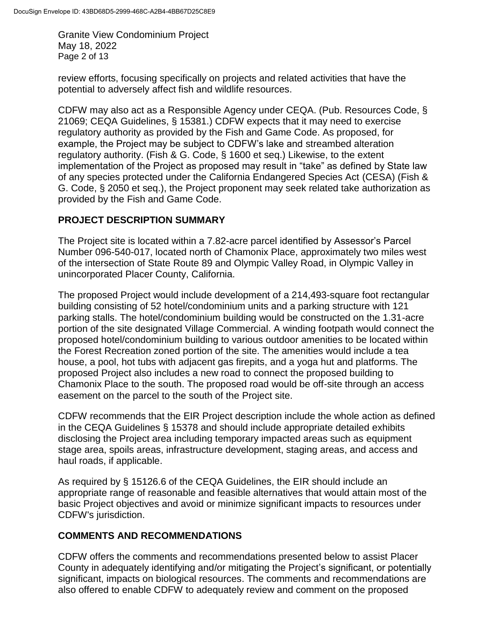Granite View Condominium Project May 18, 2022 Page 2 of 13

review efforts, focusing specifically on projects and related activities that have the potential to adversely affect fish and wildlife resources.

CDFW may also act as a Responsible Agency under CEQA. (Pub. Resources Code, § 21069; CEQA Guidelines, § 15381.) CDFW expects that it may need to exercise regulatory authority as provided by the Fish and Game Code. As proposed, for example, the Project may be subject to CDFW's lake and streambed alteration regulatory authority. (Fish & G. Code, § 1600 et seq.) Likewise, to the extent implementation of the Project as proposed may result in "take" as defined by State law of any species protected under the California Endangered Species Act (CESA) (Fish & G. Code, § 2050 et seq.), the Project proponent may seek related take authorization as provided by the Fish and Game Code.

## **PROJECT DESCRIPTION SUMMARY**

The Project site is located within a 7.82-acre parcel identified by Assessor's Parcel Number 096-540-017, located north of Chamonix Place, approximately two miles west of the intersection of State Route 89 and Olympic Valley Road, in Olympic Valley in unincorporated Placer County, California.

The proposed Project would include development of a 214,493-square foot rectangular building consisting of 52 hotel/condominium units and a parking structure with 121 parking stalls. The hotel/condominium building would be constructed on the 1.31-acre portion of the site designated Village Commercial. A winding footpath would connect the proposed hotel/condominium building to various outdoor amenities to be located within the Forest Recreation zoned portion of the site. The amenities would include a tea house, a pool, hot tubs with adjacent gas firepits, and a yoga hut and platforms. The proposed Project also includes a new road to connect the proposed building to Chamonix Place to the south. The proposed road would be off-site through an access easement on the parcel to the south of the Project site.

CDFW recommends that the EIR Project description include the whole action as defined in the CEQA Guidelines § 15378 and should include appropriate detailed exhibits disclosing the Project area including temporary impacted areas such as equipment stage area, spoils areas, infrastructure development, staging areas, and access and haul roads, if applicable.

As required by § 15126.6 of the CEQA Guidelines, the EIR should include an appropriate range of reasonable and feasible alternatives that would attain most of the basic Project objectives and avoid or minimize significant impacts to resources under CDFW's jurisdiction.

#### **COMMENTS AND RECOMMENDATIONS**

CDFW offers the comments and recommendations presented below to assist Placer County in adequately identifying and/or mitigating the Project's significant, or potentially significant, impacts on biological resources. The comments and recommendations are also offered to enable CDFW to adequately review and comment on the proposed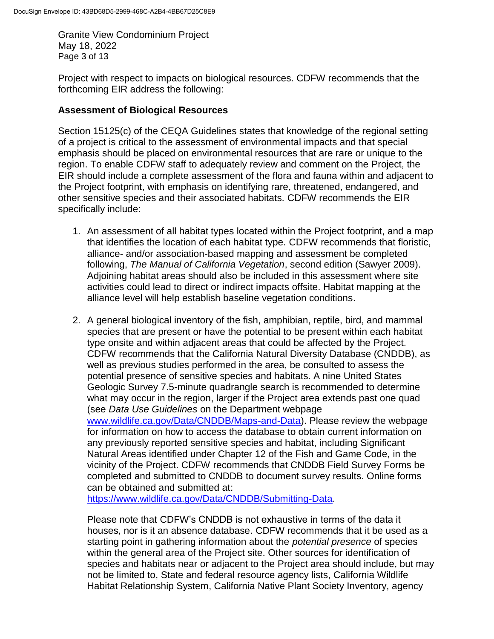Granite View Condominium Project May 18, 2022 Page 3 of 13

Project with respect to impacts on biological resources. CDFW recommends that the forthcoming EIR address the following:

#### **Assessment of Biological Resources**

Section 15125(c) of the CEQA Guidelines states that knowledge of the regional setting of a project is critical to the assessment of environmental impacts and that special emphasis should be placed on environmental resources that are rare or unique to the region. To enable CDFW staff to adequately review and comment on the Project, the EIR should include a complete assessment of the flora and fauna within and adjacent to the Project footprint, with emphasis on identifying rare, threatened, endangered, and other sensitive species and their associated habitats. CDFW recommends the EIR specifically include:

- 1. An assessment of all habitat types located within the Project footprint, and a map that identifies the location of each habitat type. CDFW recommends that floristic, alliance- and/or association-based mapping and assessment be completed following, *The Manual of California Vegetation*, second edition (Sawyer 2009). Adjoining habitat areas should also be included in this assessment where site activities could lead to direct or indirect impacts offsite. Habitat mapping at the alliance level will help establish baseline vegetation conditions.
- 2. A general biological inventory of the fish, amphibian, reptile, bird, and mammal species that are present or have the potential to be present within each habitat type onsite and within adjacent areas that could be affected by the Project. CDFW recommends that the California Natural Diversity Database (CNDDB), as well as previous studies performed in the area, be consulted to assess the potential presence of sensitive species and habitats. A nine United States Geologic Survey 7.5-minute quadrangle search is recommended to determine what may occur in the region, larger if the Project area extends past one quad (see *Data Use Guidelines* on the Department webpage [www.wildlife.ca.gov/Data/CNDDB/Maps-and-Data\)](http://www.wildlife.ca.gov/Data/CNDDB/Maps-and-Data). Please review the webpage for information on how to access the database to obtain current information on any previously reported sensitive species and habitat, including Significant Natural Areas identified under Chapter 12 of the Fish and Game Code, in the vicinity of the Project. CDFW recommends that CNDDB Field Survey Forms be completed and submitted to CNDDB to document survey results. Online forms can be obtained and submitted at:

[https://www.wildlife.ca.gov/Data/CNDDB/Submitting-Data.](https://www.wildlife.ca.gov/Data/CNDDB/Submitting-Data)

Please note that CDFW's CNDDB is not exhaustive in terms of the data it houses, nor is it an absence database. CDFW recommends that it be used as a starting point in gathering information about the *potential presence* of species within the general area of the Project site. Other sources for identification of species and habitats near or adjacent to the Project area should include, but may not be limited to, State and federal resource agency lists, California Wildlife Habitat Relationship System, California Native Plant Society Inventory, agency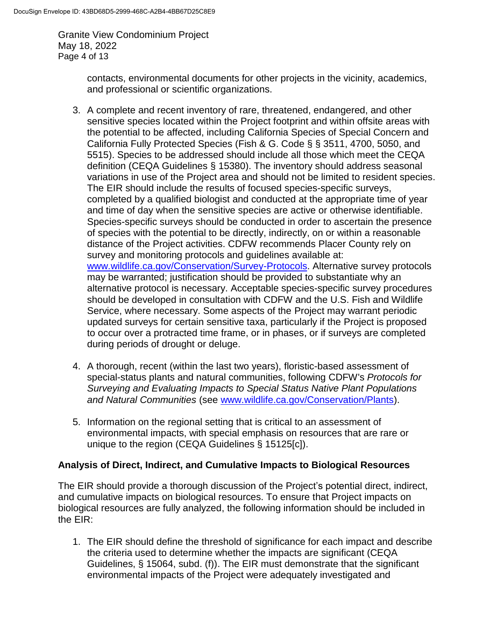Granite View Condominium Project May 18, 2022 Page 4 of 13

> contacts, environmental documents for other projects in the vicinity, academics, and professional or scientific organizations.

- 3. A complete and recent inventory of rare, threatened, endangered, and other sensitive species located within the Project footprint and within offsite areas with the potential to be affected, including California Species of Special Concern and California Fully Protected Species (Fish & G. Code § § 3511, 4700, 5050, and 5515). Species to be addressed should include all those which meet the CEQA definition (CEQA Guidelines § 15380). The inventory should address seasonal variations in use of the Project area and should not be limited to resident species. The EIR should include the results of focused species-specific surveys, completed by a qualified biologist and conducted at the appropriate time of year and time of day when the sensitive species are active or otherwise identifiable. Species-specific surveys should be conducted in order to ascertain the presence of species with the potential to be directly, indirectly, on or within a reasonable distance of the Project activities. CDFW recommends Placer County rely on survey and monitoring protocols and guidelines available at: [www.wildlife.ca.gov/Conservation/Survey-Protocols.](http://www.wildlife.ca.gov/Conservation/Survey-Protocols) Alternative survey protocols may be warranted; justification should be provided to substantiate why an alternative protocol is necessary. Acceptable species-specific survey procedures should be developed in consultation with CDFW and the U.S. Fish and Wildlife Service, where necessary. Some aspects of the Project may warrant periodic updated surveys for certain sensitive taxa, particularly if the Project is proposed to occur over a protracted time frame, or in phases, or if surveys are completed during periods of drought or deluge.
- 4. A thorough, recent (within the last two years), floristic-based assessment of special-status plants and natural communities, following CDFW's *Protocols for Surveying and Evaluating Impacts to Special Status Native Plant Populations and Natural Communities* (see [www.wildlife.ca.gov/Conservation/Plants\)](http://www.wildlife.ca.gov/Conservation/Plants).
- 5. Information on the regional setting that is critical to an assessment of environmental impacts, with special emphasis on resources that are rare or unique to the region (CEQA Guidelines § 15125[c]).

#### **Analysis of Direct, Indirect, and Cumulative Impacts to Biological Resources**

The EIR should provide a thorough discussion of the Project's potential direct, indirect, and cumulative impacts on biological resources. To ensure that Project impacts on biological resources are fully analyzed, the following information should be included in the EIR:

1. The EIR should define the threshold of significance for each impact and describe the criteria used to determine whether the impacts are significant (CEQA Guidelines, § 15064, subd. (f)). The EIR must demonstrate that the significant environmental impacts of the Project were adequately investigated and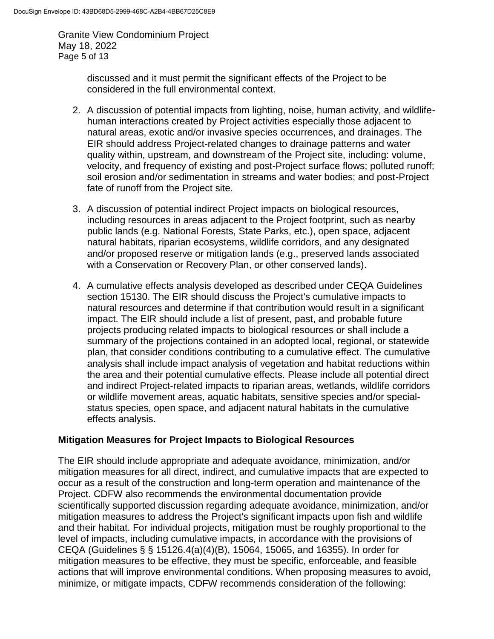Granite View Condominium Project May 18, 2022 Page 5 of 13

> discussed and it must permit the significant effects of the Project to be considered in the full environmental context.

- 2. A discussion of potential impacts from lighting, noise, human activity, and wildlifehuman interactions created by Project activities especially those adjacent to natural areas, exotic and/or invasive species occurrences, and drainages. The EIR should address Project-related changes to drainage patterns and water quality within, upstream, and downstream of the Project site, including: volume, velocity, and frequency of existing and post-Project surface flows; polluted runoff; soil erosion and/or sedimentation in streams and water bodies; and post-Project fate of runoff from the Project site.
- 3. A discussion of potential indirect Project impacts on biological resources, including resources in areas adjacent to the Project footprint, such as nearby public lands (e.g. National Forests, State Parks, etc.), open space, adjacent natural habitats, riparian ecosystems, wildlife corridors, and any designated and/or proposed reserve or mitigation lands (e.g., preserved lands associated with a Conservation or Recovery Plan, or other conserved lands).
- 4. A cumulative effects analysis developed as described under CEQA Guidelines section 15130. The EIR should discuss the Project's cumulative impacts to natural resources and determine if that contribution would result in a significant impact. The EIR should include a list of present, past, and probable future projects producing related impacts to biological resources or shall include a summary of the projections contained in an adopted local, regional, or statewide plan, that consider conditions contributing to a cumulative effect. The cumulative analysis shall include impact analysis of vegetation and habitat reductions within the area and their potential cumulative effects. Please include all potential direct and indirect Project-related impacts to riparian areas, wetlands, wildlife corridors or wildlife movement areas, aquatic habitats, sensitive species and/or specialstatus species, open space, and adjacent natural habitats in the cumulative effects analysis.

#### **Mitigation Measures for Project Impacts to Biological Resources**

The EIR should include appropriate and adequate avoidance, minimization, and/or mitigation measures for all direct, indirect, and cumulative impacts that are expected to occur as a result of the construction and long-term operation and maintenance of the Project. CDFW also recommends the environmental documentation provide scientifically supported discussion regarding adequate avoidance, minimization, and/or mitigation measures to address the Project's significant impacts upon fish and wildlife and their habitat. For individual projects, mitigation must be roughly proportional to the level of impacts, including cumulative impacts, in accordance with the provisions of CEQA (Guidelines § § 15126.4(a)(4)(B), 15064, 15065, and 16355). In order for mitigation measures to be effective, they must be specific, enforceable, and feasible actions that will improve environmental conditions. When proposing measures to avoid, minimize, or mitigate impacts, CDFW recommends consideration of the following: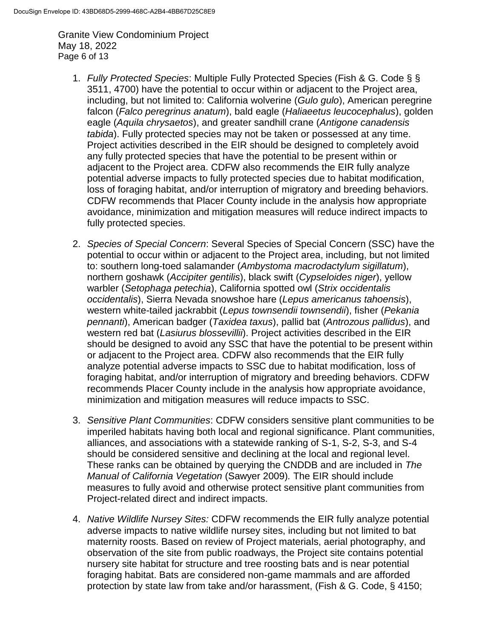Granite View Condominium Project May 18, 2022 Page 6 of 13

- 1. *Fully Protected Species*: Multiple Fully Protected Species (Fish & G. Code § § 3511, 4700) have the potential to occur within or adjacent to the Project area, including, but not limited to: California wolverine (*Gulo gulo*), American peregrine falcon (*Falco peregrinus anatum*), bald eagle (*Haliaeetus leucocephalus*), golden eagle (*Aquila chrysaetos*), and greater sandhill crane (*Antigone canadensis tabida*). Fully protected species may not be taken or possessed at any time. Project activities described in the EIR should be designed to completely avoid any fully protected species that have the potential to be present within or adjacent to the Project area. CDFW also recommends the EIR fully analyze potential adverse impacts to fully protected species due to habitat modification, loss of foraging habitat, and/or interruption of migratory and breeding behaviors. CDFW recommends that Placer County include in the analysis how appropriate avoidance, minimization and mitigation measures will reduce indirect impacts to fully protected species.
- 2. *Species of Special Concern*: Several Species of Special Concern (SSC) have the potential to occur within or adjacent to the Project area, including, but not limited to: southern long-toed salamander (*Ambystoma macrodactylum sigillatum*), northern goshawk (*Accipiter gentilis*), black swift (*Cypseloides niger*), yellow warbler (*Setophaga petechia*), California spotted owl (*Strix occidentalis occidentalis*), Sierra Nevada snowshoe hare (*Lepus americanus tahoensis*), western white-tailed jackrabbit (*Lepus townsendii townsendii*), fisher (*Pekania pennanti*), American badger (*Taxidea taxus*), pallid bat (*Antrozous pallidus*), and western red bat (*Lasiurus blossevillii*). Project activities described in the EIR should be designed to avoid any SSC that have the potential to be present within or adjacent to the Project area. CDFW also recommends that the EIR fully analyze potential adverse impacts to SSC due to habitat modification, loss of foraging habitat, and/or interruption of migratory and breeding behaviors. CDFW recommends Placer County include in the analysis how appropriate avoidance, minimization and mitigation measures will reduce impacts to SSC.
- 3. *Sensitive Plant Communities*: CDFW considers sensitive plant communities to be imperiled habitats having both local and regional significance. Plant communities, alliances, and associations with a statewide ranking of S-1, S-2, S-3, and S-4 should be considered sensitive and declining at the local and regional level. These ranks can be obtained by querying the CNDDB and are included in *The Manual of California Vegetation* (Sawyer 2009)*.* The EIR should include measures to fully avoid and otherwise protect sensitive plant communities from Project-related direct and indirect impacts.
- 4. *Native Wildlife Nursey Sites:* CDFW recommends the EIR fully analyze potential adverse impacts to native wildlife nursey sites, including but not limited to bat maternity roosts. Based on review of Project materials, aerial photography, and observation of the site from public roadways, the Project site contains potential nursery site habitat for structure and tree roosting bats and is near potential foraging habitat. Bats are considered non-game mammals and are afforded protection by state law from take and/or harassment, (Fish & G. Code, § 4150;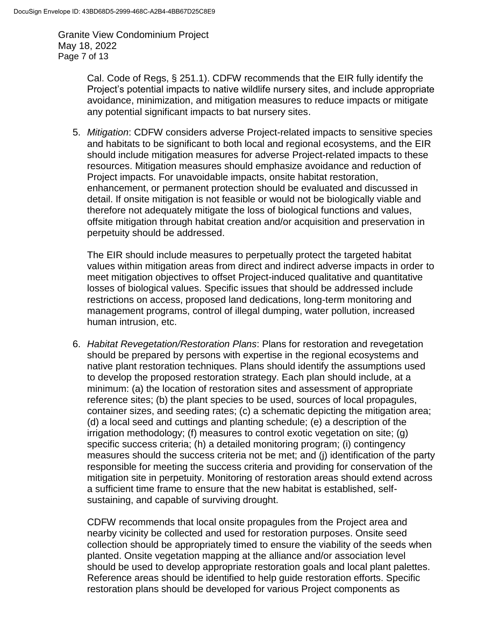Granite View Condominium Project May 18, 2022 Page 7 of 13

> Cal. Code of Regs, § 251.1). CDFW recommends that the EIR fully identify the Project's potential impacts to native wildlife nursery sites, and include appropriate avoidance, minimization, and mitigation measures to reduce impacts or mitigate any potential significant impacts to bat nursery sites.

5. *Mitigation*: CDFW considers adverse Project-related impacts to sensitive species and habitats to be significant to both local and regional ecosystems, and the EIR should include mitigation measures for adverse Project-related impacts to these resources. Mitigation measures should emphasize avoidance and reduction of Project impacts. For unavoidable impacts, onsite habitat restoration, enhancement, or permanent protection should be evaluated and discussed in detail. If onsite mitigation is not feasible or would not be biologically viable and therefore not adequately mitigate the loss of biological functions and values, offsite mitigation through habitat creation and/or acquisition and preservation in perpetuity should be addressed.

The EIR should include measures to perpetually protect the targeted habitat values within mitigation areas from direct and indirect adverse impacts in order to meet mitigation objectives to offset Project-induced qualitative and quantitative losses of biological values. Specific issues that should be addressed include restrictions on access, proposed land dedications, long-term monitoring and management programs, control of illegal dumping, water pollution, increased human intrusion, etc.

6. *Habitat Revegetation/Restoration Plans*: Plans for restoration and revegetation should be prepared by persons with expertise in the regional ecosystems and native plant restoration techniques. Plans should identify the assumptions used to develop the proposed restoration strategy. Each plan should include, at a minimum: (a) the location of restoration sites and assessment of appropriate reference sites; (b) the plant species to be used, sources of local propagules, container sizes, and seeding rates; (c) a schematic depicting the mitigation area; (d) a local seed and cuttings and planting schedule; (e) a description of the irrigation methodology; (f) measures to control exotic vegetation on site; (g) specific success criteria; (h) a detailed monitoring program; (i) contingency measures should the success criteria not be met; and (j) identification of the party responsible for meeting the success criteria and providing for conservation of the mitigation site in perpetuity. Monitoring of restoration areas should extend across a sufficient time frame to ensure that the new habitat is established, selfsustaining, and capable of surviving drought.

CDFW recommends that local onsite propagules from the Project area and nearby vicinity be collected and used for restoration purposes. Onsite seed collection should be appropriately timed to ensure the viability of the seeds when planted. Onsite vegetation mapping at the alliance and/or association level should be used to develop appropriate restoration goals and local plant palettes. Reference areas should be identified to help guide restoration efforts. Specific restoration plans should be developed for various Project components as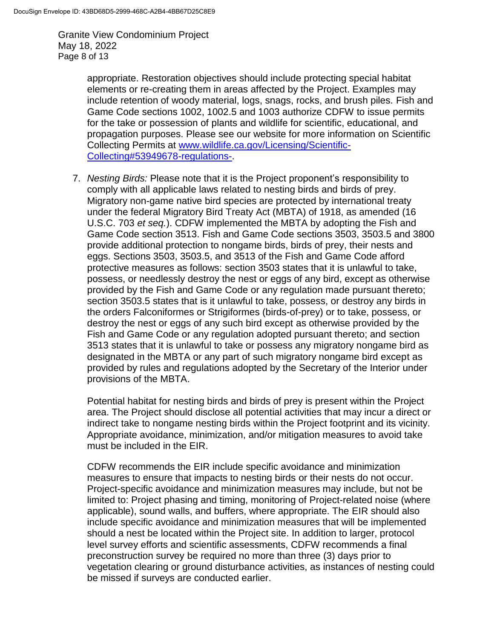Granite View Condominium Project May 18, 2022 Page 8 of 13

> appropriate. Restoration objectives should include protecting special habitat elements or re-creating them in areas affected by the Project. Examples may include retention of woody material, logs, snags, rocks, and brush piles. Fish and Game Code sections 1002, 1002.5 and 1003 authorize CDFW to issue permits for the take or possession of plants and wildlife for scientific, educational, and propagation purposes. Please see our website for more information on Scientific Collecting Permits at [www.wildlife.ca.gov/Licensing/Scientific-](http://www.wildlife.ca.gov/Licensing/Scientific-Collecting#53949678-regulations-)[Collecting#53949678-regulations-.](http://www.wildlife.ca.gov/Licensing/Scientific-Collecting#53949678-regulations-)

7. *Nesting Birds:* Please note that it is the Project proponent's responsibility to comply with all applicable laws related to nesting birds and birds of prey. Migratory non-game native bird species are protected by international treaty under the federal Migratory Bird Treaty Act (MBTA) of 1918, as amended (16 U.S.C. 703 *et seq.*). CDFW implemented the MBTA by adopting the Fish and Game Code section 3513. Fish and Game Code sections 3503, 3503.5 and 3800 provide additional protection to nongame birds, birds of prey, their nests and eggs. Sections 3503, 3503.5, and 3513 of the Fish and Game Code afford protective measures as follows: section 3503 states that it is unlawful to take, possess, or needlessly destroy the nest or eggs of any bird, except as otherwise provided by the Fish and Game Code or any regulation made pursuant thereto; section 3503.5 states that is it unlawful to take, possess, or destroy any birds in the orders Falconiformes or Strigiformes (birds-of-prey) or to take, possess, or destroy the nest or eggs of any such bird except as otherwise provided by the Fish and Game Code or any regulation adopted pursuant thereto; and section 3513 states that it is unlawful to take or possess any migratory nongame bird as designated in the MBTA or any part of such migratory nongame bird except as provided by rules and regulations adopted by the Secretary of the Interior under provisions of the MBTA.

Potential habitat for nesting birds and birds of prey is present within the Project area. The Project should disclose all potential activities that may incur a direct or indirect take to nongame nesting birds within the Project footprint and its vicinity. Appropriate avoidance, minimization, and/or mitigation measures to avoid take must be included in the EIR.

CDFW recommends the EIR include specific avoidance and minimization measures to ensure that impacts to nesting birds or their nests do not occur. Project-specific avoidance and minimization measures may include, but not be limited to: Project phasing and timing, monitoring of Project-related noise (where applicable), sound walls, and buffers, where appropriate. The EIR should also include specific avoidance and minimization measures that will be implemented should a nest be located within the Project site. In addition to larger, protocol level survey efforts and scientific assessments, CDFW recommends a final preconstruction survey be required no more than three (3) days prior to vegetation clearing or ground disturbance activities, as instances of nesting could be missed if surveys are conducted earlier.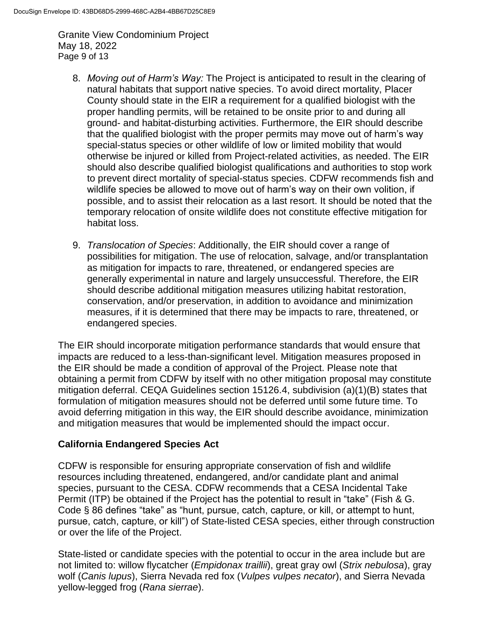Granite View Condominium Project May 18, 2022 Page 9 of 13

- 8. *Moving out of Harm's Way:* The Project is anticipated to result in the clearing of natural habitats that support native species. To avoid direct mortality, Placer County should state in the EIR a requirement for a qualified biologist with the proper handling permits, will be retained to be onsite prior to and during all ground- and habitat-disturbing activities. Furthermore, the EIR should describe that the qualified biologist with the proper permits may move out of harm's way special-status species or other wildlife of low or limited mobility that would otherwise be injured or killed from Project-related activities, as needed. The EIR should also describe qualified biologist qualifications and authorities to stop work to prevent direct mortality of special-status species. CDFW recommends fish and wildlife species be allowed to move out of harm's way on their own volition, if possible, and to assist their relocation as a last resort. It should be noted that the temporary relocation of onsite wildlife does not constitute effective mitigation for habitat loss.
- 9. *Translocation of Species*: Additionally, the EIR should cover a range of possibilities for mitigation. The use of relocation, salvage, and/or transplantation as mitigation for impacts to rare, threatened, or endangered species are generally experimental in nature and largely unsuccessful. Therefore, the EIR should describe additional mitigation measures utilizing habitat restoration, conservation, and/or preservation, in addition to avoidance and minimization measures, if it is determined that there may be impacts to rare, threatened, or endangered species.

The EIR should incorporate mitigation performance standards that would ensure that impacts are reduced to a less-than-significant level. Mitigation measures proposed in the EIR should be made a condition of approval of the Project. Please note that obtaining a permit from CDFW by itself with no other mitigation proposal may constitute mitigation deferral. CEQA Guidelines section 15126.4, subdivision (a)(1)(B) states that formulation of mitigation measures should not be deferred until some future time. To avoid deferring mitigation in this way, the EIR should describe avoidance, minimization and mitigation measures that would be implemented should the impact occur.

## **California Endangered Species Act**

CDFW is responsible for ensuring appropriate conservation of fish and wildlife resources including threatened, endangered, and/or candidate plant and animal species, pursuant to the CESA. CDFW recommends that a CESA Incidental Take Permit (ITP) be obtained if the Project has the potential to result in "take" (Fish & G. Code § 86 defines "take" as "hunt, pursue, catch, capture, or kill, or attempt to hunt, pursue, catch, capture, or kill") of State-listed CESA species, either through construction or over the life of the Project.

State-listed or candidate species with the potential to occur in the area include but are not limited to: willow flycatcher (*Empidonax traillii*), great gray owl (*Strix nebulosa*), gray wolf (*Canis lupus*), Sierra Nevada red fox (*Vulpes vulpes necator*), and Sierra Nevada yellow-legged frog (*Rana sierrae*).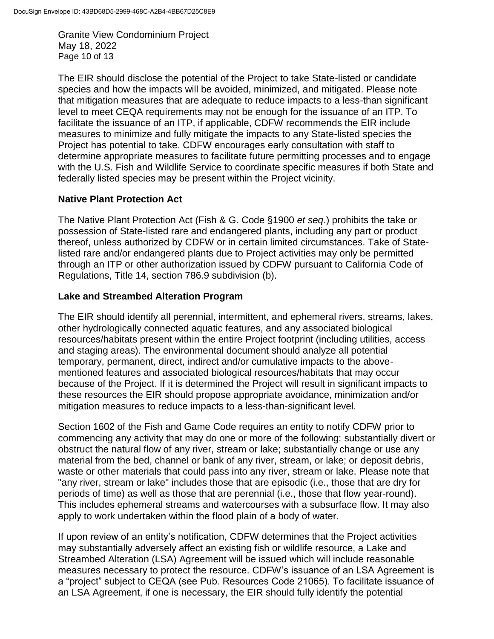Granite View Condominium Project May 18, 2022 Page 10 of 13

The EIR should disclose the potential of the Project to take State-listed or candidate species and how the impacts will be avoided, minimized, and mitigated. Please note that mitigation measures that are adequate to reduce impacts to a less-than significant level to meet CEQA requirements may not be enough for the issuance of an ITP. To facilitate the issuance of an ITP, if applicable, CDFW recommends the EIR include measures to minimize and fully mitigate the impacts to any State-listed species the Project has potential to take. CDFW encourages early consultation with staff to determine appropriate measures to facilitate future permitting processes and to engage with the U.S. Fish and Wildlife Service to coordinate specific measures if both State and federally listed species may be present within the Project vicinity.

#### **Native Plant Protection Act**

The Native Plant Protection Act (Fish & G. Code §1900 *et seq*.) prohibits the take or possession of State-listed rare and endangered plants, including any part or product thereof, unless authorized by CDFW or in certain limited circumstances. Take of Statelisted rare and/or endangered plants due to Project activities may only be permitted through an ITP or other authorization issued by CDFW pursuant to California Code of Regulations, Title 14, section 786.9 subdivision (b).

### **Lake and Streambed Alteration Program**

The EIR should identify all perennial, intermittent, and ephemeral rivers, streams, lakes, other hydrologically connected aquatic features, and any associated biological resources/habitats present within the entire Project footprint (including utilities, access and staging areas). The environmental document should analyze all potential temporary, permanent, direct, indirect and/or cumulative impacts to the abovementioned features and associated biological resources/habitats that may occur because of the Project. If it is determined the Project will result in significant impacts to these resources the EIR should propose appropriate avoidance, minimization and/or mitigation measures to reduce impacts to a less-than-significant level.

Section 1602 of the Fish and Game Code requires an entity to notify CDFW prior to commencing any activity that may do one or more of the following: substantially divert or obstruct the natural flow of any river, stream or lake; substantially change or use any material from the bed, channel or bank of any river, stream, or lake; or deposit debris, waste or other materials that could pass into any river, stream or lake. Please note that "any river, stream or lake" includes those that are episodic (i.e., those that are dry for periods of time) as well as those that are perennial (i.e., those that flow year-round). This includes ephemeral streams and watercourses with a subsurface flow. It may also apply to work undertaken within the flood plain of a body of water.

If upon review of an entity's notification, CDFW determines that the Project activities may substantially adversely affect an existing fish or wildlife resource, a Lake and Streambed Alteration (LSA) Agreement will be issued which will include reasonable measures necessary to protect the resource. CDFW's issuance of an LSA Agreement is a "project" subject to CEQA (see Pub. Resources Code 21065). To facilitate issuance of an LSA Agreement, if one is necessary, the EIR should fully identify the potential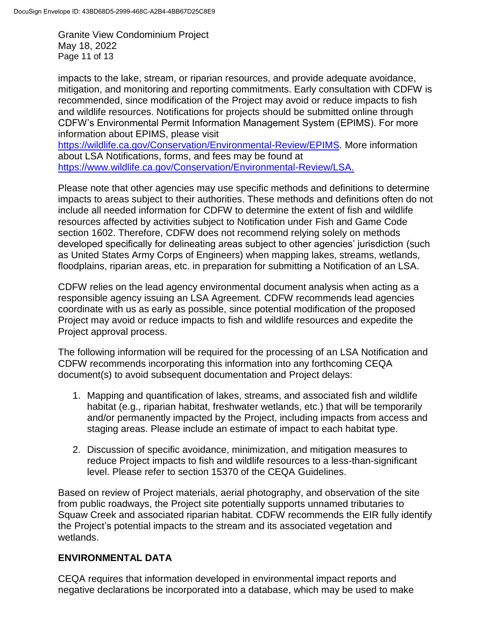Granite View Condominium Project May 18, 2022 Page 11 of 13

impacts to the lake, stream, or riparian resources, and provide adequate avoidance, mitigation, and monitoring and reporting commitments. Early consultation with CDFW is recommended, since modification of the Project may avoid or reduce impacts to fish and wildlife resources. Notifications for projects should be submitted online through CDFW's Environmental Permit Information Management System (EPIMS). For more information about EPIMS, please visit

[https://wildlife.ca.gov/Conservation/Environmental-Review/EPIMS.](https://wildlife.ca.gov/Conservation/Environmental-Review/EPIMS) More information about LSA Notifications, forms, and fees may be found at [https://www.wildlife.ca.gov/Conservation/Environmental-Review/LSA.](https://www.wildlife.ca.gov/Conservation/Environmental-Review/LSA)

Please note that other agencies may use specific methods and definitions to determine impacts to areas subject to their authorities. These methods and definitions often do not include all needed information for CDFW to determine the extent of fish and wildlife resources affected by activities subject to Notification under Fish and Game Code section 1602. Therefore, CDFW does not recommend relying solely on methods developed specifically for delineating areas subject to other agencies' jurisdiction (such as United States Army Corps of Engineers) when mapping lakes, streams, wetlands, floodplains, riparian areas, etc. in preparation for submitting a Notification of an LSA.

CDFW relies on the lead agency environmental document analysis when acting as a responsible agency issuing an LSA Agreement. CDFW recommends lead agencies coordinate with us as early as possible, since potential modification of the proposed Project may avoid or reduce impacts to fish and wildlife resources and expedite the Project approval process.

The following information will be required for the processing of an LSA Notification and CDFW recommends incorporating this information into any forthcoming CEQA document(s) to avoid subsequent documentation and Project delays:

- 1. Mapping and quantification of lakes, streams, and associated fish and wildlife habitat (e.g., riparian habitat, freshwater wetlands, etc.) that will be temporarily and/or permanently impacted by the Project, including impacts from access and staging areas. Please include an estimate of impact to each habitat type.
- 2. Discussion of specific avoidance, minimization, and mitigation measures to reduce Project impacts to fish and wildlife resources to a less-than-significant level. Please refer to section 15370 of the CEQA Guidelines.

Based on review of Project materials, aerial photography, and observation of the site from public roadways, the Project site potentially supports unnamed tributaries to Squaw Creek and associated riparian habitat. CDFW recommends the EIR fully identify the Project's potential impacts to the stream and its associated vegetation and wetlands.

## **ENVIRONMENTAL DATA**

CEQA requires that information developed in environmental impact reports and negative declarations be incorporated into a database, which may be used to make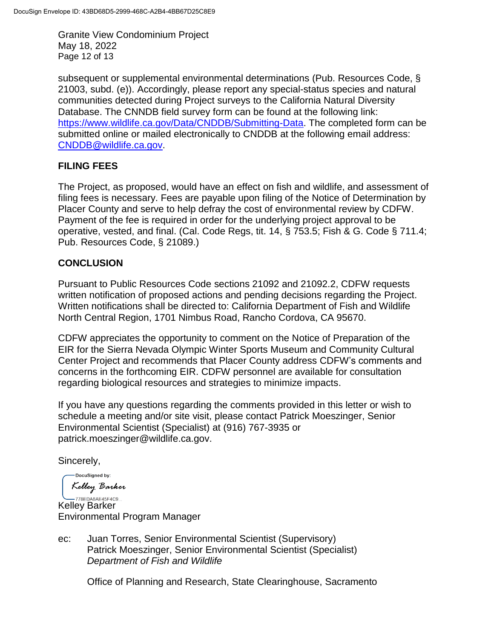Granite View Condominium Project May 18, 2022 Page 12 of 13

subsequent or supplemental environmental determinations (Pub. Resources Code, § 21003, subd. (e)). Accordingly, please report any special-status species and natural communities detected during Project surveys to the California Natural Diversity Database. The CNNDB field survey form can be found at the following link: https://www.wildlife.ca.gov/Data/CNDDB/Submitting-Data. The completed form can be submitted online or mailed electronically to CNDDB at the following email address: [CNDDB@wildlife.ca.gov.](mailto:cnddb@dfg.ca.gov)

## **FILING FEES**

The Project, as proposed, would have an effect on fish and wildlife, and assessment of filing fees is necessary. Fees are payable upon filing of the Notice of Determination by Placer County and serve to help defray the cost of environmental review by CDFW. Payment of the fee is required in order for the underlying project approval to be operative, vested, and final. (Cal. Code Regs, tit. 14, § 753.5; Fish & G. Code § 711.4; Pub. Resources Code, § 21089.)

## **CONCLUSION**

Pursuant to Public Resources Code sections 21092 and 21092.2, CDFW requests written notification of proposed actions and pending decisions regarding the Project. Written notifications shall be directed to: California Department of Fish and Wildlife North Central Region, 1701 Nimbus Road, Rancho Cordova, CA 95670.

CDFW appreciates the opportunity to comment on the Notice of Preparation of the EIR for the Sierra Nevada Olympic Winter Sports Museum and Community Cultural Center Project and recommends that Placer County address CDFW's comments and concerns in the forthcoming EIR. CDFW personnel are available for consultation regarding biological resources and strategies to minimize impacts.

If you have any questions regarding the comments provided in this letter or wish to schedule a meeting and/or site visit, please contact Patrick Moeszinger, Senior Environmental Scientist (Specialist) at (916) 767-3935 or patrick.moeszinger@wildlife.ca.gov.

Sincerely,

DocuSigned by: Kelley Barker

**Kelley Barker** Environmental Program Manager

ec: Juan Torres, Senior Environmental Scientist (Supervisory) Patrick Moeszinger, Senior Environmental Scientist (Specialist) *Department of Fish and Wildlife*

Office of Planning and Research, State Clearinghouse, Sacramento